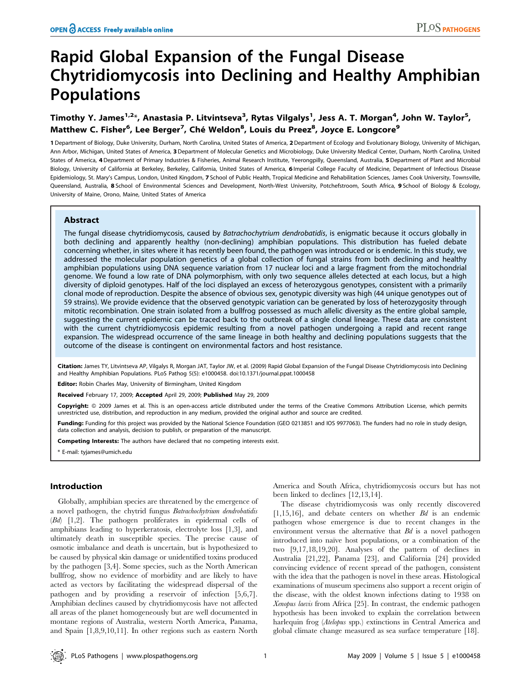# Rapid Global Expansion of the Fungal Disease Chytridiomycosis into Declining and Healthy Amphibian Populations

Timothy Y. James<sup>1,2</sup>\*, Anastasia P. Litvintseva<sup>3</sup>, Rytas Vilgalys<sup>1</sup>, Jess A. T. Morgan<sup>4</sup>, John W. Taylor<sup>5</sup>, Matthew C. Fisher<sup>6</sup>, Lee Berger<sup>7</sup>, Ché Weldon<sup>8</sup>, Louis du Preez<sup>8</sup>, Joyce E. Longcore<sup>9</sup>

1 Department of Biology, Duke University, Durham, North Carolina, United States of America, 2 Department of Ecology and Evolutionary Biology, University of Michigan, Ann Arbor, Michigan, United States of America, 3 Department of Molecular Genetics and Microbiology, Duke University Medical Center, Durham, North Carolina, United States of America, 4 Department of Primary Industries & Fisheries, Animal Research Institute, Yeerongpilly, Queensland, Australia, 5 Department of Plant and Microbial Biology, University of California at Berkeley, Berkeley, California, United States of America, 6 Imperial College Faculty of Medicine, Department of Infectious Disease Epidemiology, St. Mary's Campus, London, United Kingdom, 7 School of Public Health, Tropical Medicine and Rehabilitation Sciences, James Cook University, Townsville, Queensland, Australia, 8 School of Environmental Sciences and Development, North-West University, Potchefstroom, South Africa, 9 School of Biology & Ecology, University of Maine, Orono, Maine, United States of America

# Abstract

The fungal disease chytridiomycosis, caused by Batrachochytrium dendrobatidis, is enigmatic because it occurs globally in both declining and apparently healthy (non-declining) amphibian populations. This distribution has fueled debate concerning whether, in sites where it has recently been found, the pathogen was introduced or is endemic. In this study, we addressed the molecular population genetics of a global collection of fungal strains from both declining and healthy amphibian populations using DNA sequence variation from 17 nuclear loci and a large fragment from the mitochondrial genome. We found a low rate of DNA polymorphism, with only two sequence alleles detected at each locus, but a high diversity of diploid genotypes. Half of the loci displayed an excess of heterozygous genotypes, consistent with a primarily clonal mode of reproduction. Despite the absence of obvious sex, genotypic diversity was high (44 unique genotypes out of 59 strains). We provide evidence that the observed genotypic variation can be generated by loss of heterozygosity through mitotic recombination. One strain isolated from a bullfrog possessed as much allelic diversity as the entire global sample, suggesting the current epidemic can be traced back to the outbreak of a single clonal lineage. These data are consistent with the current chytridiomycosis epidemic resulting from a novel pathogen undergoing a rapid and recent range expansion. The widespread occurrence of the same lineage in both healthy and declining populations suggests that the outcome of the disease is contingent on environmental factors and host resistance.

Citation: James TY, Litvintseva AP, Vilgalys R, Morgan JAT, Taylor JW, et al. (2009) Rapid Global Expansion of the Fungal Disease Chytridiomycosis into Declining and Healthy Amphibian Populations. PLoS Pathog 5(5): e1000458. doi:10.1371/journal.ppat.1000458

Editor: Robin Charles May, University of Birmingham, United Kingdom

Received February 17, 2009; Accepted April 29, 2009; Published May 29, 2009

Copyright: @ 2009 James et al. This is an open-access article distributed under the terms of the Creative Commons Attribution License, which permits unrestricted use, distribution, and reproduction in any medium, provided the original author and source are credited.

Funding: Funding for this project was provided by the National Science Foundation (GEO 0213851 and IOS 9977063). The funders had no role in study design, data collection and analysis, decision to publish, or preparation of the manuscript.

Competing Interests: The authors have declared that no competing interests exist.

\* E-mail: tyjames@umich.edu

# Introduction

Globally, amphibian species are threatened by the emergence of a novel pathogen, the chytrid fungus Batrachochytrium dendrobatidis (Bd) [1,2]. The pathogen proliferates in epidermal cells of amphibians leading to hyperkeratosis, electrolyte loss [1,3], and ultimately death in susceptible species. The precise cause of osmotic imbalance and death is uncertain, but is hypothesized to be caused by physical skin damage or unidentified toxins produced by the pathogen [3,4]. Some species, such as the North American bullfrog, show no evidence of morbidity and are likely to have acted as vectors by facilitating the widespread dispersal of the pathogen and by providing a reservoir of infection [5,6,7]. Amphibian declines caused by chytridiomycosis have not affected all areas of the planet homogeneously but are well documented in montane regions of Australia, western North America, Panama, and Spain [1,8,9,10,11]. In other regions such as eastern North

America and South Africa, chytridiomycosis occurs but has not been linked to declines [12,13,14].

The disease chytridiomycosis was only recently discovered [1,15,16], and debate centers on whether  $Bd$  is an endemic pathogen whose emergence is due to recent changes in the environment versus the alternative that  $Bd$  is a novel pathogen introduced into naïve host populations, or a combination of the two [9,17,18,19,20]. Analyses of the pattern of declines in Australia [21,22], Panama [23], and California [24] provided convincing evidence of recent spread of the pathogen, consistent with the idea that the pathogen is novel in these areas. Histological examinations of museum specimens also support a recent origin of the disease, with the oldest known infections dating to 1938 on Xenopus laevis from Africa [25]. In contrast, the endemic pathogen hypothesis has been invoked to explain the correlation between harlequin frog (Atelopus spp.) extinctions in Central America and global climate change measured as sea surface temperature [18].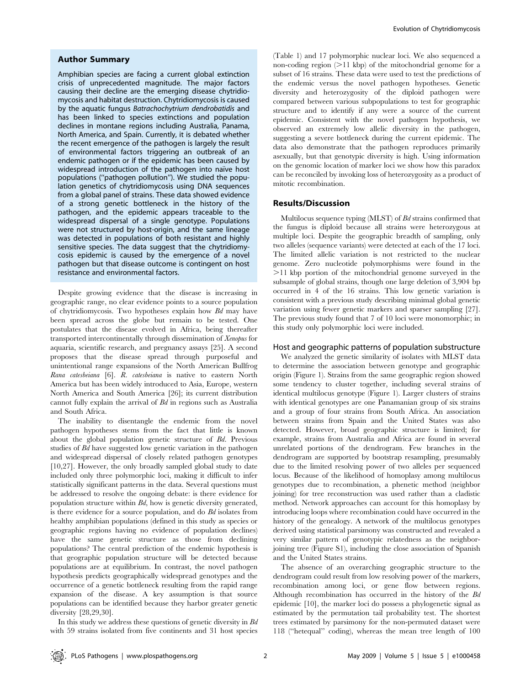### Author Summary

Amphibian species are facing a current global extinction crisis of unprecedented magnitude. The major factors causing their decline are the emerging disease chytridiomycosis and habitat destruction. Chytridiomycosis is caused by the aquatic fungus Batrachochytrium dendrobatidis and has been linked to species extinctions and population declines in montane regions including Australia, Panama, North America, and Spain. Currently, it is debated whether the recent emergence of the pathogen is largely the result of environmental factors triggering an outbreak of an endemic pathogen or if the epidemic has been caused by widespread introduction of the pathogen into naïve host populations (''pathogen pollution''). We studied the population genetics of chytridiomycosis using DNA sequences from a global panel of strains. These data showed evidence of a strong genetic bottleneck in the history of the pathogen, and the epidemic appears traceable to the widespread dispersal of a single genotype. Populations were not structured by host-origin, and the same lineage was detected in populations of both resistant and highly sensitive species. The data suggest that the chytridiomycosis epidemic is caused by the emergence of a novel pathogen but that disease outcome is contingent on host resistance and environmental factors.

Despite growing evidence that the disease is increasing in geographic range, no clear evidence points to a source population of chytridiomycosis. Two hypotheses explain how Bd may have been spread across the globe but remain to be tested. One postulates that the disease evolved in Africa, being thereafter transported intercontinentally through dissemination of Xenopus for aquaria, scientific research, and pregnancy assays [25]. A second proposes that the disease spread through purposeful and unintentional range expansions of the North American Bullfrog Rana catesbeiana [6]. R. catesbeiana is native to eastern North America but has been widely introduced to Asia, Europe, western North America and South America [26]; its current distribution cannot fully explain the arrival of Bd in regions such as Australia and South Africa.

The inability to disentangle the endemic from the novel pathogen hypotheses stems from the fact that little is known about the global population genetic structure of Bd. Previous studies of Bd have suggested low genetic variation in the pathogen and widespread dispersal of closely related pathogen genotypes [10,27]. However, the only broadly sampled global study to date included only three polymorphic loci, making it difficult to infer statistically significant patterns in the data. Several questions must be addressed to resolve the ongoing debate: is there evidence for population structure within Bd, how is genetic diversity generated, is there evidence for a source population, and do Bd isolates from healthy amphibian populations (defined in this study as species or geographic regions having no evidence of population declines) have the same genetic structure as those from declining populations? The central prediction of the endemic hypothesis is that geographic population structure will be detected because populations are at equilibrium. In contrast, the novel pathogen hypothesis predicts geographically widespread genotypes and the occurrence of a genetic bottleneck resulting from the rapid range expansion of the disease. A key assumption is that source populations can be identified because they harbor greater genetic diversity [28,29,30].

In this study we address these questions of genetic diversity in Bd with 59 strains isolated from five continents and 31 host species

(Table 1) and 17 polymorphic nuclear loci. We also sequenced a non-coding region  $(>11 \text{ kbp})$  of the mitochondrial genome for a subset of 16 strains. These data were used to test the predictions of the endemic versus the novel pathogen hypotheses. Genetic diversity and heterozygosity of the diploid pathogen were compared between various subpopulations to test for geographic structure and to identify if any were a source of the current epidemic. Consistent with the novel pathogen hypothesis, we observed an extremely low allelic diversity in the pathogen, suggesting a severe bottleneck during the current epidemic. The data also demonstrate that the pathogen reproduces primarily asexually, but that genotypic diversity is high. Using information on the genomic location of marker loci we show how this paradox can be reconciled by invoking loss of heterozygosity as a product of mitotic recombination.

# Results/Discussion

Multilocus sequence typing (MLST) of Bd strains confirmed that the fungus is diploid because all strains were heterozygous at multiple loci. Despite the geographic breadth of sampling, only two alleles (sequence variants) were detected at each of the 17 loci. The limited allelic variation is not restricted to the nuclear genome. Zero nucleotide polymorphisms were found in the  $>11$  kbp portion of the mitochondrial genome surveyed in the subsample of global strains, though one large deletion of 3,904 bp occurred in 4 of the 16 strains. This low genetic variation is consistent with a previous study describing minimal global genetic variation using fewer genetic markers and sparser sampling [27]. The previous study found that 7 of 10 loci were monomorphic; in this study only polymorphic loci were included.

#### Host and geographic patterns of population substructure

We analyzed the genetic similarity of isolates with MLST data to determine the association between genotype and geographic origin (Figure 1). Strains from the same geographic region showed some tendency to cluster together, including several strains of identical multilocus genotype (Figure 1). Larger clusters of strains with identical genotypes are one Panamanian group of six strains and a group of four strains from South Africa. An association between strains from Spain and the United States was also detected. However, broad geographic structure is limited; for example, strains from Australia and Africa are found in several unrelated portions of the dendrogram. Few branches in the dendrogram are supported by bootstrap resampling, presumably due to the limited resolving power of two alleles per sequenced locus. Because of the likelihood of homoplasy among multilocus genotypes due to recombination, a phenetic method (neighbor joining) for tree reconstruction was used rather than a cladistic method. Network approaches can account for this homoplasy by introducing loops where recombination could have occurred in the history of the genealogy. A network of the multilocus genotypes derived using statistical parsimony was constructed and revealed a very similar pattern of genotypic relatedness as the neighborjoining tree (Figure S1), including the close association of Spanish and the United States strains.

The absence of an overarching geographic structure to the dendrogram could result from low resolving power of the markers, recombination among loci, or gene flow between regions. Although recombination has occurred in the history of the Bd epidemic [10], the marker loci do possess a phylogenetic signal as estimated by the permutation tail probability test. The shortest trees estimated by parsimony for the non-permuted dataset were 118 (''hetequal'' coding), whereas the mean tree length of 100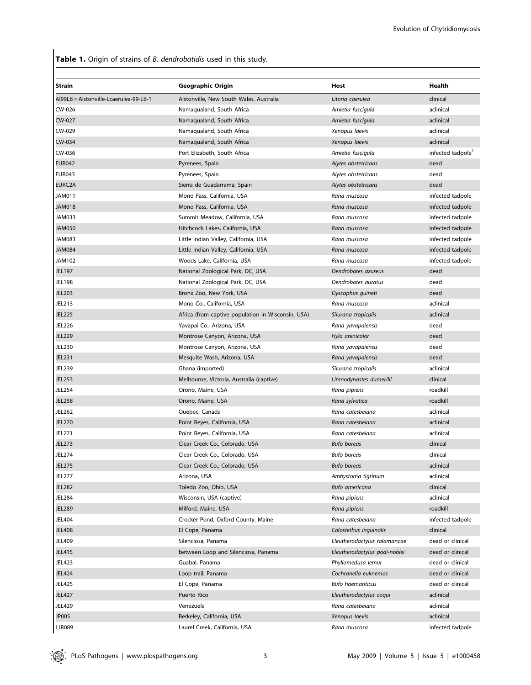Table 1. Origin of strains of *B. dendrobatidis* used in this study.

| Strain                                 | Geographic Origin                                  | Host                          | Health                        |  |
|----------------------------------------|----------------------------------------------------|-------------------------------|-------------------------------|--|
| Al99LB = Alstonville-Lcaerulea-99-LB-1 | Alstonville, New South Wales, Australia            | Litoria caerulea              | clinical                      |  |
| CW-026                                 | Namaqualand, South Africa                          | Amietia fuscigula             | aclinical                     |  |
| CW-027                                 | Namaqualand, South Africa                          | Amietia fuscigula             | aclinical                     |  |
| CW-029                                 | Namaqualand, South Africa                          | Xenopus laevis                | aclinical                     |  |
| CW-034                                 | Namaqualand, South Africa                          | Xenopus laevis                | aclinical                     |  |
| CW-036                                 | Port Elizabeth, South Africa                       | Amietia fuscigula             | infected tadpole <sup>1</sup> |  |
| <b>EUR042</b>                          | Pyrenees, Spain                                    | Alytes obstetricans           | dead                          |  |
| <b>EUR043</b>                          | Pyrenees, Spain                                    | Alytes obstetricans           | dead                          |  |
| EURC2A                                 | Sierra de Guadarrama, Spain                        | Alytes obstetricans           | dead                          |  |
| <b>JAM011</b>                          | Mono Pass, California, USA                         | Rana muscosa                  | infected tadpole              |  |
| <b>JAM018</b>                          | Mono Pass, California, USA                         | Rana muscosa                  | infected tadpole              |  |
| JAM033                                 | Summit Meadow, California, USA                     | Rana muscosa                  | infected tadpole              |  |
| <b>JAM050</b>                          | Hitchcock Lakes, California, USA                   | Rana muscosa                  | infected tadpole              |  |
| JAM083                                 | Little Indian Valley, California, USA              | Rana muscosa                  | infected tadpole              |  |
| <b>JAM084</b>                          | Little Indian Valley, California, USA              | Rana muscosa                  | infected tadpole              |  |
| JAM102                                 | Woods Lake, California, USA                        | Rana muscosa                  | infected tadpole              |  |
| JEL197                                 | National Zoological Park, DC, USA                  | Dendrobates azureus           | dead                          |  |
| <b>JEL198</b>                          | National Zoological Park, DC, USA                  | Dendrobates auratus           | dead                          |  |
| <b>JEL203</b>                          | Bronx Zoo, New York, USA                           | Dyscophus quineti             | dead                          |  |
| JEL213                                 | Mono Co., California, USA                          | Rana muscosa                  | aclinical                     |  |
| <b>JEL225</b>                          | Africa (from captive population in Wisconsin, USA) | Silurana tropicalis           | aclinical                     |  |
| <b>JEL226</b>                          | Yavapai Co., Arizona, USA                          | Rana yavapaiensis             | dead                          |  |
| <b>JEL229</b>                          | Montrose Canyon, Arizona, USA                      | Hyla arenicolor               | dead                          |  |
| <b>JEL230</b>                          | Montrose Canyon, Arizona, USA                      | Rana yavapaiensis             | dead                          |  |
| <b>JEL231</b>                          | Mesquite Wash, Arizona, USA                        | Rana yavapaiensis             | dead                          |  |
| <b>JEL239</b>                          | Ghana (imported)                                   | Silurana tropicalis           | aclinical                     |  |
| <b>JEL253</b>                          | Melbourne, Victoria, Australia (captive)           | Limnodynastes dumerilii       | clinical                      |  |
| <b>JEL254</b>                          | Orono, Maine, USA                                  | Rana pipiens                  | roadkill                      |  |
| <b>JEL258</b>                          | Orono, Maine, USA                                  | Rana sylvatica                | roadkill                      |  |
| <b>JEL262</b>                          | Quebec, Canada                                     | Rana catesbeiana              | aclinical                     |  |
| <b>JEL270</b>                          | Point Reyes, California, USA                       | Rana catesbeiana              | aclinical                     |  |
| JEL271                                 | Point Reyes, California, USA                       | Rana catesbeiana              | aclinical                     |  |
| <b>JEL273</b>                          | Clear Creek Co., Colorado, USA                     | <b>Bufo boreas</b>            | clinical                      |  |
| <b>JEL274</b>                          | Clear Creek Co., Colorado, USA                     | <b>Bufo boreas</b>            | clinical                      |  |
| <b>JEL275</b>                          | Clear Creek Co., Colorado, USA                     | <b>Buto boreas</b>            | aclinical                     |  |
| <b>JEL277</b>                          | Arizona, USA                                       | Ambystoma tigrinum            | aclinical                     |  |
| <b>JEL282</b>                          | Toledo Zoo, Ohio, USA                              | Bufo americana                | clinical                      |  |
| <b>JEL284</b>                          | Wisconsin, USA (captive)                           | Rana pipiens                  | aclinical                     |  |
| <b>JEL289</b>                          | Milford, Maine, USA                                | Rana pipiens                  | roadkill                      |  |
| <b>JEL404</b>                          | Crocker Pond, Oxford County, Maine                 | Rana catesbeiana              | infected tadpole              |  |
| <b>JEL408</b>                          | El Cope, Panama                                    | Colostethus inguinalis        | clinical                      |  |
| <b>JEL409</b>                          | Silenciosa, Panama                                 | Eleutherodactylus talamancae  | dead or clinical              |  |
| <b>JEL415</b>                          | between Loop and Silenciosa, Panama                | Eleutherodactylus podi-noblei | dead or clinical              |  |
| <b>JEL423</b>                          | Guabal, Panama                                     | Phyllomedusa lemur            | dead or clinical              |  |
| <b>JEL424</b>                          | Loop trail, Panama                                 | Cochranella euknemos          | dead or clinical              |  |
| <b>JEL425</b>                          | El Cope, Panama                                    | <b>Bufo haematiticus</b>      | dead or clinical              |  |
| <b>JEL427</b>                          | Puerto Rico                                        | Eleutherodactylus coqui       | aclinical                     |  |
| <b>JEL429</b>                          | Venezuela                                          | Rana catesbeiana<br>aclinical |                               |  |
| JP005                                  | Berkeley, California, USA                          | Xenopus laevis                | aclinical                     |  |
| <b>LJR089</b>                          | Laurel Creek, California, USA                      | Rana muscosa                  | infected tadpole              |  |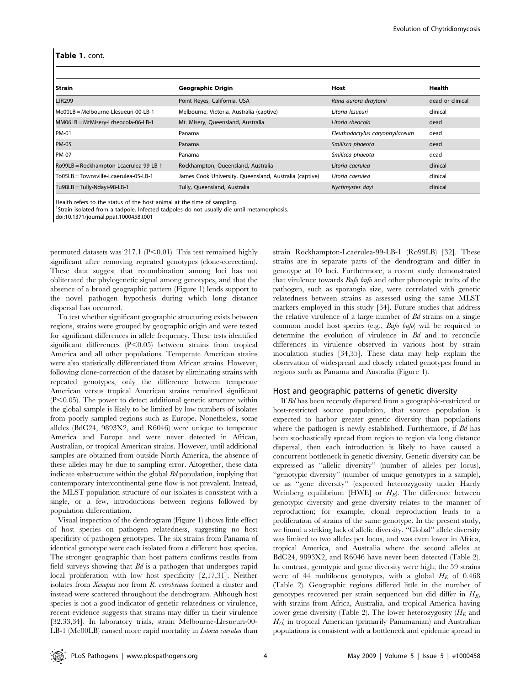#### Table 1. cont.

| l Strain                               | <b>Geographic Origin</b>                               | Host                            | Health           |
|----------------------------------------|--------------------------------------------------------|---------------------------------|------------------|
| <b>LJR299</b>                          | Point Reyes, California, USA                           | Rana aurora draytonii           | dead or clinical |
| $Me00LB = Melbourne-Llesueuri-00-LB-1$ | Melbourne, Victoria, Australia (captive)               | Litoria lesueuri                | clinical         |
| MM06LB = MtMisery-Lrheocola-06-LB-1    | Mt. Misery, Queensland, Australia                      | Litoria rheocola                | dead             |
| <b>PM-01</b>                           | Panama                                                 | Eleuthodactylus caryophyllaceum | dead             |
| <b>PM-05</b>                           | Panama                                                 | Smilisca phaeota                | dead             |
| <b>PM-07</b>                           | Panama                                                 | Smilisca phaeota                | dead             |
| Ro99LB = Rockhampton-Lcaerulea-99-LB-1 | Rockhampton, Queensland, Australia                     | Litoria caerulea                | clinical         |
| To05LB = Townsville-Lcaerulea-05-LB-1  | James Cook University, Queensland, Australia (captive) | Litoria caerulea                | clinical         |
| Tu98LB = Tully-Ndayi-98-LB-1           | Tully, Queensland, Australia                           | Nyctimystes dayi                | clinical         |

Health refers to the status of the host animal at the time of sampling.

<sup>1</sup>Strain isolated from a tadpole. Infected tadpoles do not usually die until metamorphosis.

doi:10.1371/journal.ppat.1000458.t001

permuted datasets was  $217.1$  (P<0.01). This test remained highly significant after removing repeated genotypes (clone-correction). These data suggest that recombination among loci has not obliterated the phylogenetic signal among genotypes, and that the absence of a broad geographic pattern (Figure 1) lends support to the novel pathogen hypothesis during which long distance dispersal has occurred.

To test whether significant geographic structuring exists between regions, strains were grouped by geographic origin and were tested for significant differences in allele frequency. These tests identified significant differences  $(P<0.05)$  between strains from tropical America and all other populations. Temperate American strains were also statistically differentiated from African strains. However, following clone-correction of the dataset by eliminating strains with repeated genotypes, only the difference between temperate American versus tropical American strains remained significant  $(P<0.05)$ . The power to detect additional genetic structure within the global sample is likely to be limited by low numbers of isolates from poorly sampled regions such as Europe. Nonetheless, some alleles (BdC24, 9893X2, and R6046) were unique to temperate America and Europe and were never detected in African, Australian, or tropical American strains. However, until additional samples are obtained from outside North America, the absence of these alleles may be due to sampling error. Altogether, these data indicate substructure within the global Bd population, implying that contemporary intercontinental gene flow is not prevalent. Instead, the MLST population structure of our isolates is consistent with a single, or a few, introductions between regions followed by population differentiation.

Visual inspection of the dendrogram (Figure 1) shows little effect of host species on pathogen relatedness, suggesting no host specificity of pathogen genotypes. The six strains from Panama of identical genotype were each isolated from a different host species. The stronger geographic than host pattern confirms results from field surveys showing that Bd is a pathogen that undergoes rapid local proliferation with low host specificity [2,17,31]. Neither isolates from Xenopus nor from R. catesbeiana formed a cluster and instead were scattered throughout the dendrogram. Although host species is not a good indicator of genetic relatedness or virulence, recent evidence suggests that strains may differ in their virulence [32,33,34]. In laboratory trials, strain Melbourne-Llesueuri-00- LB-1 (Me00LB) caused more rapid mortality in *Litoria caerulea* than strain Rockhampton-Lcaerulea-99-LB-1 (Ro99LB) [32]. These strains are in separate parts of the dendrogram and differ in genotype at 10 loci. Furthermore, a recent study demonstrated that virulence towards Bufo bufo and other phenotypic traits of the pathogen, such as sporangia size, were correlated with genetic relatedness between strains as assessed using the same MLST markers employed in this study [34]. Future studies that address the relative virulence of a large number of  $Bd$  strains on a single common model host species (e.g., Bufo bufo) will be required to determine the evolution of virulence in Bd and to reconcile differences in virulence observed in various host by strain inoculation studies [34,35]. These data may help explain the observation of widespread and closely related genotypes found in regions such as Panama and Australia (Figure 1).

#### Host and geographic patterns of genetic diversity

If Bd has been recently dispersed from a geographic-restricted or host-restricted source population, that source population is expected to harbor greater genetic diversity than populations where the pathogen is newly established. Furthermore, if  $Bd$  has been stochastically spread from region to region via long distance dispersal, then each introduction is likely to have caused a concurrent bottleneck in genetic diversity. Genetic diversity can be expressed as ''allelic diversity'' (number of alleles per locus), ''genotypic diversity'' (number of unique genotypes in a sample), or as ''gene diversity'' (expected heterozygosity under Hardy Weinberg equilibrium [HWE] or  $H_F$ ). The difference between genotypic diversity and gene diversity relates to the manner of reproduction; for example, clonal reproduction leads to a proliferation of strains of the same genotype. In the present study, we found a striking lack of allelic diversity. ''Global'' allele diversity was limited to two alleles per locus, and was even lower in Africa, tropical America, and Australia where the second alleles at BdC24, 9893X2, and R6046 have never been detected (Table 2). In contrast, genotypic and gene diversity were high; the 59 strains were of 44 multilocus genotypes, with a global  $H_E$  of 0.468 (Table 2). Geographic regions differed little in the number of genotypes recovered per strain sequenced but did differ in  $H_E$ , with strains from Africa, Australia, and tropical America having lower gene diversity (Table 2). The lower heterozygosity ( $H_E$  and  $H<sub>Q</sub>$  in tropical American (primarily Panamanian) and Australian populations is consistent with a bottleneck and epidemic spread in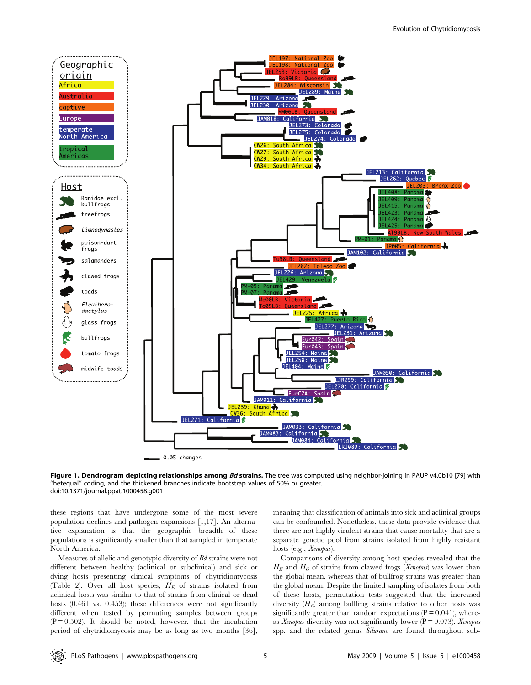

Figure 1. Dendrogram depicting relationships among Bd strains. The tree was computed using neighbor-joining in PAUP v4.0b10 [79] with ''hetequal'' coding, and the thickened branches indicate bootstrap values of 50% or greater. doi:10.1371/journal.ppat.1000458.g001

these regions that have undergone some of the most severe population declines and pathogen expansions [1,17]. An alternative explanation is that the geographic breadth of these populations is significantly smaller than that sampled in temperate North America.

Measures of allelic and genotypic diversity of Bd strains were not different between healthy (aclinical or subclinical) and sick or dying hosts presenting clinical symptoms of chytridiomycosis (Table 2). Over all host species,  $H_E$  of strains isolated from aclinical hosts was similar to that of strains from clinical or dead hosts (0.461 vs. 0.453); these differences were not significantly different when tested by permuting samples between groups  $(P = 0.502)$ . It should be noted, however, that the incubation period of chytridiomycosis may be as long as two months [36],

meaning that classification of animals into sick and aclinical groups can be confounded. Nonetheless, these data provide evidence that there are not highly virulent strains that cause mortality that are a separate genetic pool from strains isolated from highly resistant hosts (e.g., *Xenopus*).

Comparisons of diversity among host species revealed that the  $H_E$  and  $H_O$  of strains from clawed frogs (Xenopus) was lower than the global mean, whereas that of bullfrog strains was greater than the global mean. Despite the limited sampling of isolates from both of these hosts, permutation tests suggested that the increased diversity  $(H_E)$  among bullfrog strains relative to other hosts was significantly greater than random expectations  $(P = 0.041)$ , whereas Xenopus diversity was not significantly lower ( $P = 0.073$ ). Xenopus spp. and the related genus Silurana are found throughout sub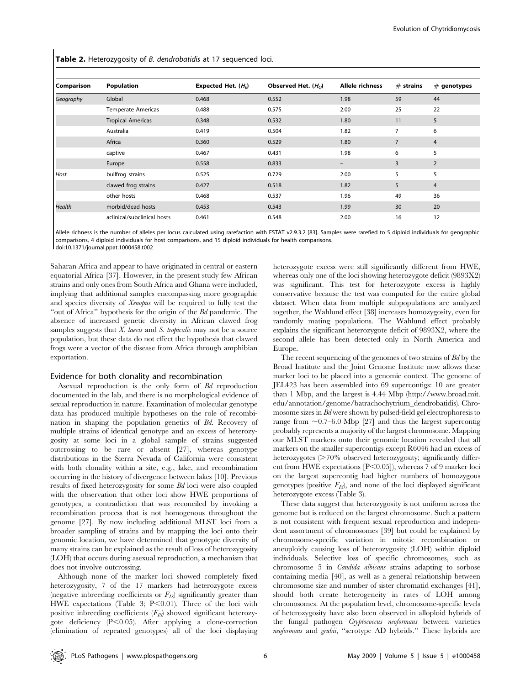Table 2. Heterozygosity of B. dendrobatidis at 17 sequenced loci.

| <b>Comparison</b> | <b>Population</b>           | Expected Het. $(Hf)$ | Observed Het. $(HO)$ | Allele richness   | $#$ strains    | $#$ genotypes  |
|-------------------|-----------------------------|----------------------|----------------------|-------------------|----------------|----------------|
| Geography         | Global                      | 0.468                | 0.552                | 1.98              | 59             | 44             |
|                   | <b>Temperate Americas</b>   | 0.488                | 0.575                | 2.00              | 25             | 22             |
|                   | <b>Tropical Americas</b>    | 0.348                | 0.532                | 1.80              | 11             | 5              |
|                   | Australia                   | 0.419                | 0.504                | 1.82              | 7              | 6              |
|                   | Africa                      | 0.360                | 0.529                | 1.80              | $\overline{7}$ | $\overline{4}$ |
|                   | captive                     | 0.467                | 0.431                | 1.98              | 6              | 5              |
|                   | Europe                      | 0.558                | 0.833                | $\qquad \qquad -$ | 3              | $\overline{2}$ |
| Host              | bullfrog strains            | 0.525                | 0.729                | 2.00              | 5              | 5              |
|                   | clawed frog strains         | 0.427                | 0.518                | 1.82              | 5              | $\overline{4}$ |
|                   | other hosts                 | 0.468                | 0.537                | 1.96              | 49             | 36             |
| Health            | morbid/dead hosts           | 0.453                | 0.543                | 1.99              | 30             | 20             |
|                   | aclinical/subclinical hosts | 0.461                | 0.548                | 2.00              | 16             | 12             |

Allele richness is the number of alleles per locus calculated using rarefaction with FSTAT v2.9.3.2 [83]. Samples were rarefied to 5 diploid individuals for geographic comparisons, 4 diploid individuals for host comparisons, and 15 diploid individuals for health comparisons.

doi:10.1371/journal.ppat.1000458.t002

Saharan Africa and appear to have originated in central or eastern equatorial Africa [37]. However, in the present study few African strains and only ones from South Africa and Ghana were included, implying that additional samples encompassing more geographic and species diversity of Xenopus will be required to fully test the ''out of Africa'' hypothesis for the origin of the Bd pandemic. The absence of increased genetic diversity in African clawed frog samples suggests that  $X$ . *laevis* and  $S$ . *tropicalis* may not be a source population, but these data do not effect the hypothesis that clawed frogs were a vector of the disease from Africa through amphibian exportation.

## Evidence for both clonality and recombination

Asexual reproduction is the only form of Bd reproduction documented in the lab, and there is no morphological evidence of sexual reproduction in nature. Examination of molecular genotype data has produced multiple hypotheses on the role of recombination in shaping the population genetics of Bd. Recovery of multiple strains of identical genotype and an excess of heterozygosity at some loci in a global sample of strains suggested outcrossing to be rare or absent [27], whereas genotype distributions in the Sierra Nevada of California were consistent with both clonality within a site, e.g., lake, and recombination occurring in the history of divergence between lakes [10]. Previous results of fixed heterozygosity for some Bd loci were also coupled with the observation that other loci show HWE proportions of genotypes, a contradiction that was reconciled by invoking a recombination process that is not homogenous throughout the genome [27]. By now including additional MLST loci from a broader sampling of strains and by mapping the loci onto their genomic location, we have determined that genotypic diversity of many strains can be explained as the result of loss of heterozygosity (LOH) that occurs during asexual reproduction, a mechanism that does not involve outcrossing.

Although none of the marker loci showed completely fixed heterozygosity, 7 of the 17 markers had heterozygote excess (negative inbreeding coefficients or  $F_{IS}$ ) significantly greater than HWE expectations (Table 3; P<0.01). Three of the loci with positive inbreeding coefficients  $(F_{IS})$  showed significant heterozygote deficiency  $(P<0.05)$ . After applying a clone-correction (elimination of repeated genotypes) all of the loci displaying heterozygote excess were still significantly different from HWE, whereas only one of the loci showing heterozygote deficit (9893X2) was significant. This test for heterozygote excess is highly conservative because the test was computed for the entire global dataset. When data from multiple subpopulations are analyzed together, the Wahlund effect [38] increases homozygosity, even for randomly mating populations. The Wahlund effect probably explains the significant heterozygote deficit of 9893X2, where the second allele has been detected only in North America and Europe.

The recent sequencing of the genomes of two strains of Bd by the Broad Institute and the Joint Genome Institute now allows these marker loci to be placed into a genomic context. The genome of JEL423 has been assembled into 69 supercontigs: 10 are greater than 1 Mbp, and the largest is 4.44 Mbp (http://www.broad.mit. edu/annotation/genome/batrachochytrium\_dendrobatidis). Chromosome sizes in Bd were shown by pulsed-field gel electrophoresis to range from  $\sim 0.7$ –6.0 Mbp [27] and thus the largest supercontig probably represents a majority of the largest chromosome. Mapping our MLST markers onto their genomic location revealed that all markers on the smaller supercontigs except R6046 had an excess of heterozygotes  $(>=70\%$  observed heterozygosity; significantly different from HWE expectations  $[P<0.05]$ ), whereas 7 of 9 marker loci on the largest supercontig had higher numbers of homozygous genotypes (positive  $F_{IS}$ ), and none of the loci displayed significant heterozygote excess (Table 3).

These data suggest that heterozygosity is not uniform across the genome but is reduced on the largest chromosome. Such a pattern is not consistent with frequent sexual reproduction and independent assortment of chromosomes [39] but could be explained by chromosome-specific variation in mitotic recombination or aneuploidy causing loss of heterozygosity (LOH) within diploid individuals. Selective loss of specific chromosomes, such as chromosome 5 in Candida albicans strains adapting to sorbose containing media [40], as well as a general relationship between chromosome size and number of sister chromatid exchanges [41], should both create heterogeneity in rates of LOH among chromosomes. At the population level, chromosome-specific levels of heterozygosity have also been observed in alloploid hybrids of the fungal pathogen Cryptococcus neoformans between varieties neoformans and grubii, "serotype AD hybrids." These hybrids are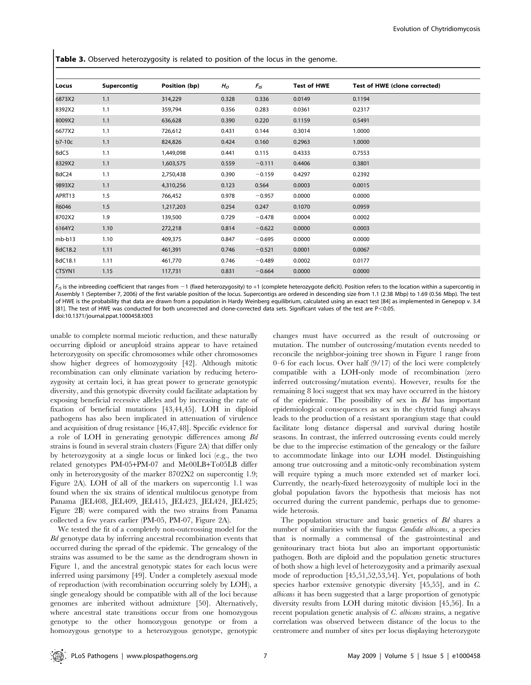**Table 3.** Observed heterozygosity is related to position of the locus in the genome.

| l Locus        | <b>Supercontig</b> | Position (bp) | $H_O$ | $F_{IS}$ | <b>Test of HWE</b> | <b>Test of HWE (clone corrected)</b> |
|----------------|--------------------|---------------|-------|----------|--------------------|--------------------------------------|
| 6873X2         | 1.1                | 314,229       | 0.328 | 0.336    | 0.0149             | 0.1194                               |
| 8392X2         | 1.1                | 359,794       | 0.356 | 0.283    | 0.0361             | 0.2317                               |
| 8009X2         | 1.1                | 636,628       | 0.390 | 0.220    | 0.1159             | 0.5491                               |
| 6677X2         | 1.1                | 726,612       | 0.431 | 0.144    | 0.3014             | 1.0000                               |
| b7-10c         | 1.1                | 824,826       | 0.424 | 0.160    | 0.2963             | 1.0000                               |
| BdC5           | 1.1                | 1,449,098     | 0.441 | 0.115    | 0.4333             | 0.7553                               |
| 8329X2         | 1.1                | 1,603,575     | 0.559 | $-0.111$ | 0.4406             | 0.3801                               |
| BdC24          | 1.1                | 2,750,438     | 0.390 | $-0.159$ | 0.4297             | 0.2392                               |
| 9893X2         | 1.1                | 4,310,256     | 0.123 | 0.564    | 0.0003             | 0.0015                               |
| APRT13         | 1.5                | 766,452       | 0.978 | $-0.957$ | 0.0000             | 0.0000                               |
| R6046          | 1.5                | 1,217,203     | 0.254 | 0.247    | 0.1070             | 0.0959                               |
| 8702X2         | 1.9                | 139,500       | 0.729 | $-0.478$ | 0.0004             | 0.0002                               |
| 6164Y2         | 1.10               | 272,218       | 0.814 | $-0.622$ | 0.0000             | 0.0003                               |
| mb-b13         | 1.10               | 409,375       | 0.847 | $-0.695$ | 0.0000             | 0.0000                               |
| <b>BdC18.2</b> | 1.11               | 461,391       | 0.746 | $-0.521$ | 0.0001             | 0.0067                               |
| <b>BdC18.1</b> | 1.11               | 461,770       | 0.746 | $-0.489$ | 0.0002             | 0.0177                               |
| CTSYN1         | 1.15               | 117,731       | 0.831 | $-0.664$ | 0.0000             | 0.0000                               |

 $F_{1S}$  is the inbreeding coefficient that ranges from  $-1$  (fixed heterozygosity) to +1 (complete heterozygote deficit). Position refers to the location within a supercontig in Assembly 1 (September 7, 2006) of the first variable position of the locus. Supercontigs are ordered in descending size from 1.1 (2.38 Mbp) to 1.69 (0.56 Mbp). The test of HWE is the probability that data are drawn from a population in Hardy Weinberg equilibrium, calculated using an exact test [84] as implemented in Genepop v. 3.4 [81]. The test of HWE was conducted for both uncorrected and clone-corrected data sets. Significant values of the test are P<0.05. doi:10.1371/journal.ppat.1000458.t003

unable to complete normal meiotic reduction, and these naturally occurring diploid or aneuploid strains appear to have retained heterozygosity on specific chromosomes while other chromosomes show higher degrees of homozygosity [42]. Although mitotic recombination can only eliminate variation by reducing heterozygosity at certain loci, it has great power to generate genotypic diversity, and this genotypic diversity could facilitate adaptation by exposing beneficial recessive alleles and by increasing the rate of fixation of beneficial mutations [43,44,45]. LOH in diploid pathogens has also been implicated in attenuation of virulence and acquisition of drug resistance [46,47,48]. Specific evidence for a role of LOH in generating genotypic differences among Bd strains is found in several strain clusters (Figure 2A) that differ only by heterozygosity at a single locus or linked loci (e.g., the two related genotypes PM-05+PM-07 and Me00LB+To05LB differ only in heterozygosity of the marker 8702X2 on supercontig 1.9; Figure 2A). LOH of all of the markers on supercontig 1.1 was found when the six strains of identical multilocus genotype from Panama (JEL408, JEL409, JEL415, JEL423, JEL424, JEL425; Figure 2B) were compared with the two strains from Panama collected a few years earlier (PM-05, PM-07, Figure 2A).

We tested the fit of a completely non-outcrossing model for the Bd genotype data by inferring ancestral recombination events that occurred during the spread of the epidemic. The genealogy of the strains was assumed to be the same as the dendrogram shown in Figure 1, and the ancestral genotypic states for each locus were inferred using parsimony [49]. Under a completely asexual mode of reproduction (with recombination occurring solely by LOH), a single genealogy should be compatible with all of the loci because genomes are inherited without admixture [50]. Alternatively, where ancestral state transitions occur from one homozygous genotype to the other homozygous genotype or from a homozygous genotype to a heterozygous genotype, genotypic

changes must have occurred as the result of outcrossing or mutation. The number of outcrossing/mutation events needed to reconcile the neighbor-joining tree shown in Figure 1 range from 0–6 for each locus. Over half (9/17) of the loci were completely compatible with a LOH-only mode of recombination (zero inferred outcrossing/mutation events). However, results for the remaining 8 loci suggest that sex may have occurred in the history of the epidemic. The possibility of sex in Bd has important epidemiological consequences as sex in the chytrid fungi always leads to the production of a resistant sporangium stage that could facilitate long distance dispersal and survival during hostile seasons. In contrast, the inferred outcrossing events could merely be due to the imprecise estimation of the genealogy or the failure to accommodate linkage into our LOH model. Distinguishing among true outcrossing and a mitotic-only recombination system will require typing a much more extended set of marker loci. Currently, the nearly-fixed heterozygosity of multiple loci in the global population favors the hypothesis that meiosis has not occurred during the current pandemic, perhaps due to genomewide heterosis.

The population structure and basic genetics of Bd shares a number of similarities with the fungus Candida albicans, a species that is normally a commensal of the gastrointestinal and genitourinary tract biota but also an important opportunistic pathogen. Both are diploid and the population genetic structures of both show a high level of heterozygosity and a primarily asexual mode of reproduction [45,51,52,53,54]. Yet, populations of both species harbor extensive genotypic diversity [45,55], and in C. albicans it has been suggested that a large proportion of genotypic diversity results from LOH during mitotic division [45,56]. In a recent population genetic analysis of C. albicans strains, a negative correlation was observed between distance of the locus to the centromere and number of sites per locus displaying heterozygote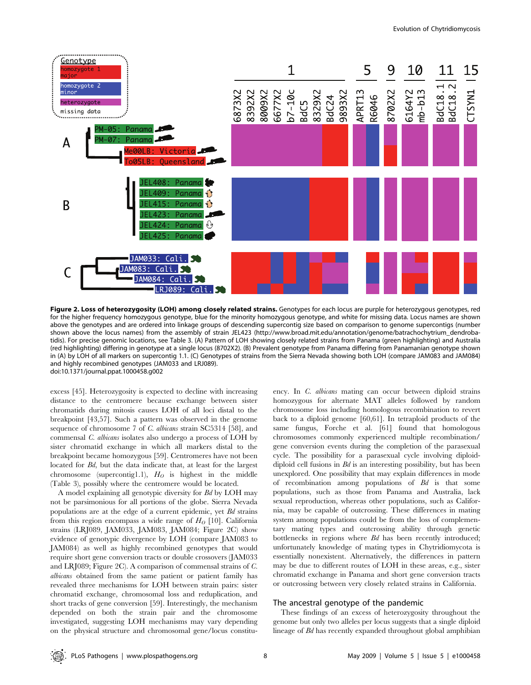

Figure 2. Loss of heterozygosity (LOH) among closely related strains. Genotypes for each locus are purple for heterozygous genotypes, red for the higher frequency homozygous genotype, blue for the minority homozygous genotype, and white for missing data. Locus names are shown above the genotypes and are ordered into linkage groups of descending supercontig size based on comparison to genome supercontigs (number shown above the locus names) from the assembly of strain JEL423 (http://www.broad.mit.edu/annotation/genome/batrachochytrium\_dendrobatidis). For precise genomic locations, see Table 3. (A) Pattern of LOH showing closely related strains from Panama (green highlighting) and Australia (red highlighting) differing in genotype at a single locus (8702X2). (B) Prevalent genotype from Panama differing from Panamanian genotype shown in (A) by LOH of all markers on supercontig 1.1. (C) Genotypes of strains from the Sierra Nevada showing both LOH (compare JAM083 and JAM084) and highly recombined genotypes (JAM033 and LRJ089). doi:10.1371/journal.ppat.1000458.g002

excess [45]. Heterozygosity is expected to decline with increasing distance to the centromere because exchange between sister chromatids during mitosis causes LOH of all loci distal to the breakpoint [43,57]. Such a pattern was observed in the genome sequence of chromosome 7 of C. albicans strain SC5314 [58], and commensal C. albicans isolates also undergo a process of LOH by sister chromatid exchange in which all markers distal to the breakpoint became homozygous [59]. Centromeres have not been located for Bd, but the data indicate that, at least for the largest chromosome (supercontig1.1),  $H_0$  is highest in the middle (Table 3), possibly where the centromere would be located.

A model explaining all genotypic diversity for Bd by LOH may not be parsimonious for all portions of the globe. Sierra Nevada populations are at the edge of a current epidemic, yet Bd strains from this region encompass a wide range of  $H_0$  [10]. California strains (LRJ089, JAM033, JAM083, JAM084; Figure 2C) show evidence of genotypic divergence by LOH (compare JAM083 to JAM084) as well as highly recombined genotypes that would require short gene conversion tracts or double crossovers (JAM033 and LRJ089; Figure 2C). A comparison of commensal strains of C. albicans obtained from the same patient or patient family has revealed three mechanisms for LOH between strain pairs: sister chromatid exchange, chromosomal loss and reduplication, and short tracks of gene conversion [59]. Interestingly, the mechanism depended on both the strain pair and the chromosome investigated, suggesting LOH mechanisms may vary depending on the physical structure and chromosomal gene/locus constitu-

ency. In C. albicans mating can occur between diploid strains homozygous for alternate MAT alleles followed by random chromosome loss including homologous recombination to revert back to a diploid genome [60,61]. In tetraploid products of the same fungus, Forche et al. [61] found that homologous chromosomes commonly experienced multiple recombination/ gene conversion events during the completion of the parasexual cycle. The possibility for a parasexual cycle involving diploiddiploid cell fusions in Bd is an interesting possibility, but has been unexplored. One possibility that may explain differences in mode of recombination among populations of  $Bd$  is that some populations, such as those from Panama and Australia, lack sexual reproduction, whereas other populations, such as California, may be capable of outcrossing. These differences in mating system among populations could be from the loss of complementary mating types and outcrossing ability through genetic bottlenecks in regions where *Bd* has been recently introduced; unfortunately knowledge of mating types in Chytridiomycota is essentially nonexistent. Alternatively, the differences in pattern may be due to different routes of LOH in these areas, e.g., sister chromatid exchange in Panama and short gene conversion tracts or outcrossing between very closely related strains in California.

#### The ancestral genotype of the pandemic

These findings of an excess of heterozygosity throughout the genome but only two alleles per locus suggests that a single diploid lineage of Bd has recently expanded throughout global amphibian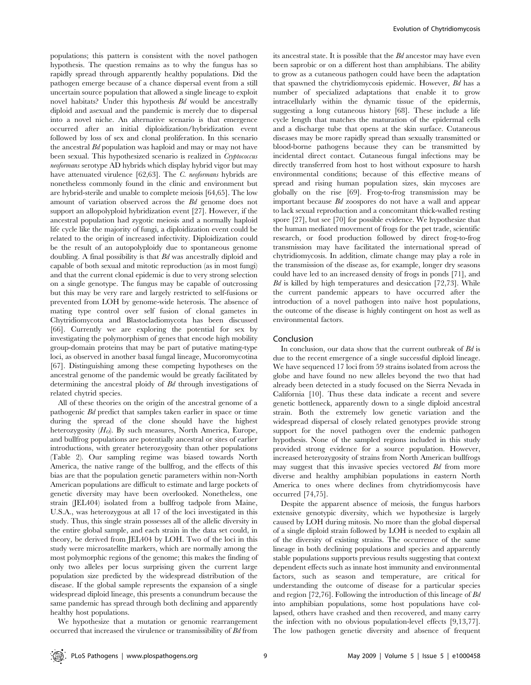populations; this pattern is consistent with the novel pathogen hypothesis. The question remains as to why the fungus has so rapidly spread through apparently healthy populations. Did the pathogen emerge because of a chance dispersal event from a still uncertain source population that allowed a single lineage to exploit novel habitats? Under this hypothesis Bd would be ancestrally diploid and asexual and the pandemic is merely due to dispersal into a novel niche. An alternative scenario is that emergence occurred after an initial diploidization/hybridization event followed by loss of sex and clonal proliferation. In this scenario the ancestral Bd population was haploid and may or may not have been sexual. This hypothesized scenario is realized in *Cryptococcus* neoformans serotype AD hybrids which display hybrid vigor but may have attenuated virulence [62,63]. The C. neoformans hybrids are nonetheless commonly found in the clinic and environment but are hybrid-sterile and unable to complete meiosis [64,65]. The low amount of variation observed across the Bd genome does not support an allopolyploid hybridization event [27]. However, if the ancestral population had zygotic meiosis and a normally haploid life cycle like the majority of fungi, a diploidization event could be related to the origin of increased infectivity. Diploidization could be the result of an autopolyploidy due to spontaneous genome doubling. A final possibility is that Bd was ancestrally diploid and capable of both sexual and mitotic reproduction (as in most fungi) and that the current clonal epidemic is due to very strong selection on a single genotype. The fungus may be capable of outcrossing but this may be very rare and largely restricted to self-fusions or prevented from LOH by genome-wide heterosis. The absence of mating type control over self fusion of clonal gametes in Chytridiomycota and Blastocladiomycota has been discussed [66]. Currently we are exploring the potential for sex by investigating the polymorphism of genes that encode high mobility group-domain proteins that may be part of putative mating-type loci, as observed in another basal fungal lineage, Mucoromycotina [67]. Distinguishing among these competing hypotheses on the ancestral genome of the pandemic would be greatly facilitated by determining the ancestral ploidy of Bd through investigations of related chytrid species.

All of these theories on the origin of the ancestral genome of a pathogenic Bd predict that samples taken earlier in space or time during the spread of the clone should have the highest heterozygosity  $(H<sub>0</sub>)$ . By such measures, North America, Europe, and bullfrog populations are potentially ancestral or sites of earlier introductions, with greater heterozygosity than other populations (Table 2). Our sampling regime was biased towards North America, the native range of the bullfrog, and the effects of this bias are that the population genetic parameters within non-North American populations are difficult to estimate and large pockets of genetic diversity may have been overlooked. Nonetheless, one strain (JEL404) isolated from a bullfrog tadpole from Maine, U.S.A., was heterozygous at all 17 of the loci investigated in this study. Thus, this single strain possesses all of the allelic diversity in the entire global sample, and each strain in the data set could, in theory, be derived from JEL404 by LOH. Two of the loci in this study were microsatellite markers, which are normally among the most polymorphic regions of the genome; this makes the finding of only two alleles per locus surprising given the current large population size predicted by the widespread distribution of the disease. If the global sample represents the expansion of a single widespread diploid lineage, this presents a conundrum because the same pandemic has spread through both declining and apparently healthy host populations.

We hypothesize that a mutation or genomic rearrangement occurred that increased the virulence or transmissibility of Bd from its ancestral state. It is possible that the  $Bd$  ancestor may have even been saprobic or on a different host than amphibians. The ability to grow as a cutaneous pathogen could have been the adaptation that spawned the chytridiomycosis epidemic. However, Bd has a number of specialized adaptations that enable it to grow intracellularly within the dynamic tissue of the epidermis, suggesting a long cutaneous history [68]. These include a life cycle length that matches the maturation of the epidermal cells and a discharge tube that opens at the skin surface. Cutaneous diseases may be more rapidly spread than sexually transmitted or blood-borne pathogens because they can be transmitted by incidental direct contact. Cutaneous fungal infections may be directly transferred from host to host without exposure to harsh environmental conditions; because of this effective means of spread and rising human population sizes, skin mycoses are globally on the rise [69]. Frog-to-frog transmission may be important because Bd zoospores do not have a wall and appear to lack sexual reproduction and a concomitant thick-walled resting spore [27], but see [70] for possible evidence. We hypothesize that the human mediated movement of frogs for the pet trade, scientific research, or food production followed by direct frog-to-frog transmission may have facilitated the international spread of chytridiomycosis. In addition, climate change may play a role in the transmission of the disease as, for example, longer dry seasons could have led to an increased density of frogs in ponds [71], and  $Bd$  is killed by high temperatures and desiccation [72,73]. While the current pandemic appears to have occurred after the introduction of a novel pathogen into naïve host populations, the outcome of the disease is highly contingent on host as well as environmental factors.

## Conclusion

In conclusion, our data show that the current outbreak of Bd is due to the recent emergence of a single successful diploid lineage. We have sequenced 17 loci from 59 strains isolated from across the globe and have found no new alleles beyond the two that had already been detected in a study focused on the Sierra Nevada in California [10]. Thus these data indicate a recent and severe genetic bottleneck, apparently down to a single diploid ancestral strain. Both the extremely low genetic variation and the widespread dispersal of closely related genotypes provide strong support for the novel pathogen over the endemic pathogen hypothesis. None of the sampled regions included in this study provided strong evidence for a source population. However, increased heterozygosity of strains from North American bullfrogs may suggest that this invasive species vectored Bd from more diverse and healthy amphibian populations in eastern North America to ones where declines from chytridiomycosis have occurred [74,75].

Despite the apparent absence of meiosis, the fungus harbors extensive genotypic diversity, which we hypothesize is largely caused by LOH during mitosis. No more than the global dispersal of a single diploid strain followed by LOH is needed to explain all of the diversity of existing strains. The occurrence of the same lineage in both declining populations and species and apparently stable populations supports previous results suggesting that context dependent effects such as innate host immunity and environmental factors, such as season and temperature, are critical for understanding the outcome of disease for a particular species and region [72,76]. Following the introduction of this lineage of Bd into amphibian populations, some host populations have collapsed, others have crashed and then recovered, and many carry the infection with no obvious population-level effects [9,13,77]. The low pathogen genetic diversity and absence of frequent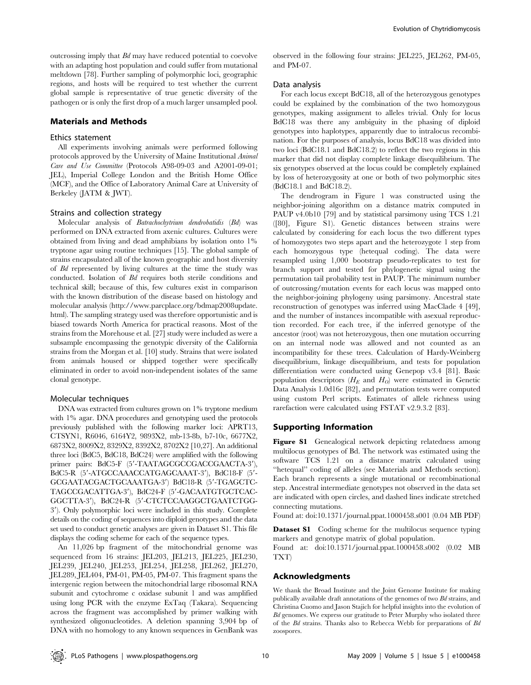outcrossing imply that Bd may have reduced potential to coevolve with an adapting host population and could suffer from mutational meltdown [78]. Further sampling of polymorphic loci, geographic regions, and hosts will be required to test whether the current global sample is representative of true genetic diversity of the pathogen or is only the first drop of a much larger unsampled pool.

## Materials and Methods

## Ethics statement

All experiments involving animals were performed following protocols approved by the University of Maine Institutional Animal Care and Use Committee (Protocols A98-09-03 and A2001-09-01; JEL), Imperial College London and the British Home Office (MCF), and the Office of Laboratory Animal Care at University of Berkeley (JATM & JWT).

## Strains and collection strategy

Molecular analysis of Batrachochytrium dendrobatidis (Bd) was performed on DNA extracted from axenic cultures. Cultures were obtained from living and dead amphibians by isolation onto 1% tryptone agar using routine techniques [15]. The global sample of strains encapsulated all of the known geographic and host diversity of Bd represented by living cultures at the time the study was conducted. Isolation of Bd requires both sterile conditions and technical skill; because of this, few cultures exist in comparison with the known distribution of the disease based on histology and molecular analysis (http://www.parcplace.org/bdmap2008update. html). The sampling strategy used was therefore opportunistic and is biased towards North America for practical reasons. Most of the strains from the Morehouse et al. [27] study were included as were a subsample encompassing the genotypic diversity of the California strains from the Morgan et al. [10] study. Strains that were isolated from animals housed or shipped together were specifically eliminated in order to avoid non-independent isolates of the same clonal genotype.

#### Molecular techniques

DNA was extracted from cultures grown on 1% tryptone medium with 1% agar. DNA procedures and genotyping used the protocols previously published with the following marker loci: APRT13, CTSYN1, R6046, 6164Y2, 9893X2, mb-13-8b, b7-10c, 6677X2, 6873X2, 8009X2, 8329X2, 8392X2, 8702X2 [10,27]. An additional three loci (BdC5, BdC18, BdC24) were amplified with the following primer pairs: BdC5-F (5'-TAATAGCGCCGACCGAACTA-3'), BdC5-R (5'-ATGCCAAACCATGAGCAAAT-3'), BdC18-F (5'-GCGAATACGACTGCAAATGA-3') BdC18-R (5'-TGAGCTC-TAGCCGACATTGA-3'), BdC24-F (5'-GACAATGTGCTCAC-GGCTTA-3'), BdC24-R (5'-CTCTCCAAGGCTGAATCTGG-3<sup>'</sup>). Only polymorphic loci were included in this study. Complete details on the coding of sequences into diploid genotypes and the data set used to conduct genetic analyses are given in Dataset S1. This file displays the coding scheme for each of the sequence types.

An 11,026 bp fragment of the mitochondrial genome was sequenced from 16 strains: JEL203, JEL213, JEL225, JEL230, JEL239, JEL240, JEL253, JEL254, JEL258, JEL262, JEL270, JEL289, JEL404, PM-01, PM-05, PM-07. This fragment spans the intergenic region between the mitochondrial large ribosomal RNA subunit and cytochrome c oxidase subunit 1 and was amplified using long PCR with the enzyme ExTaq (Takara). Sequencing across the fragment was accomplished by primer walking with synthesized oligonucleotides. A deletion spanning 3,904 bp of DNA with no homology to any known sequences in GenBank was

observed in the following four strains: JEL225, JEL262, PM-05, and PM-07.

#### Data analysis

For each locus except BdC18, all of the heterozygous genotypes could be explained by the combination of the two homozygous genotypes, making assignment to alleles trivial. Only for locus BdC18 was there any ambiguity in the phasing of diploid genotypes into haplotypes, apparently due to intralocus recombination. For the purposes of analysis, locus BdC18 was divided into two loci (BdC18.1 and BdC18.2) to reflect the two regions in this marker that did not display complete linkage disequilibrium. The six genotypes observed at the locus could be completely explained by loss of heterozygosity at one or both of two polymorphic sites (BdC18.1 and BdC18.2).

The dendrogram in Figure 1 was constructed using the neighbor-joining algorithm on a distance matrix computed in PAUP v4.0b10 [79] and by statistical parsimony using TCS 1.21 ([80], Figure S1). Genetic distances between strains were calculated by considering for each locus the two different types of homozygotes two steps apart and the heterozygote 1 step from each homozygous type (hetequal coding). The data were resampled using 1,000 bootstrap pseudo-replicates to test for branch support and tested for phylogenetic signal using the permutation tail probability test in PAUP. The minimum number of outcrossing/mutation events for each locus was mapped onto the neighbor-joining phylogeny using parsimony. Ancestral state reconstruction of genotypes was inferred using MacClade 4 [49], and the number of instances incompatible with asexual reproduction recorded. For each tree, if the inferred genotype of the ancestor (root) was not heterozygous, then one mutation occurring on an internal node was allowed and not counted as an incompatibility for these trees. Calculation of Hardy-Weinberg disequilibrium, linkage disequilibrium, and tests for population differentiation were conducted using Genepop v3.4 [81]. Basic population descriptors  $(H_E \text{ and } H_0)$  were estimated in Genetic Data Analysis 1.0d16c [82], and permutation tests were computed using custom Perl scripts. Estimates of allele richness using rarefaction were calculated using FSTAT v2.9.3.2 [83].

## Supporting Information

Figure S1 Genealogical network depicting relatedness among multilocus genotypes of Bd. The network was estimated using the software TCS 1.21 on a distance matrix calculated using ''hetequal'' coding of alleles (see Materials and Methods section). Each branch represents a single mutational or recombinational step. Ancestral intermediate genotypes not observed in the data set are indicated with open circles, and dashed lines indicate stretched connecting mutations.

Found at: doi:10.1371/journal.ppat.1000458.s001 (0.04 MB PDF)

Dataset S1 Coding scheme for the multilocus sequence typing markers and genotype matrix of global population.

Found at: doi:10.1371/journal.ppat.1000458.s002 (0.02 MB TXT)

# Acknowledgments

We thank the Broad Institute and the Joint Genome Institute for making publically available draft annotations of the genomes of two Bd strains, and Christina Cuomo and Jason Stajich for helpful insights into the evolution of Bd genomes. We express our gratitude to Peter Murphy who isolated three of the Bd strains. Thanks also to Rebecca Webb for preparations of Bd zoospores.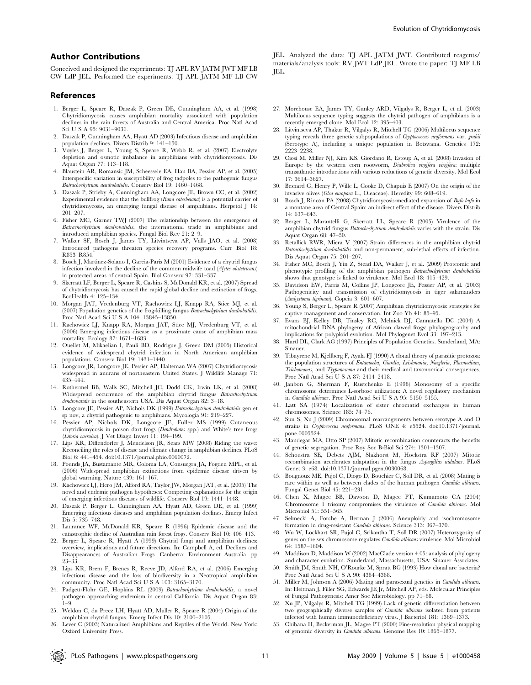## Author Contributions

Conceived and designed the experiments: TJ APL RV JATM JWT MF LB CW LdP JEL. Performed the experiments: TJ APL JATM MF LB CW

#### References

- 1. Berger L, Speare R, Daszak P, Green DE, Cunningham AA, et al. (1998) Chytridiomycosis causes amphibian mortality associated with population declines in the rain forests of Australia and Central America. Proc Natl Acad Sci U S A 95: 9031–9036.
- 2. Daszak P, Cunningham AA, Hyatt AD (2003) Infectious disease and amphibian population declines. Divers Distrib 9: 141–150.
- 3. Voyles J, Berger L, Young S, Speare R, Webb R, et al. (2007) Electrolyte depletion and osmotic imbalance in amphibians with chytridiomycosis. Dis Aquat Organ 77: 113–118.
- 4. Blaustein AR, Romansic JM, Scheessele EA, Han BA, Pessier AP, et al. (2005) Interspecific variation in susceptibility of frog tadpoles to the pathogenic fungus Batracbochytrium dendrobatidis. Conserv Biol 19: 1460–1468.
- 5. Daszak P, Strieby A, Cunningham AA, Longcore JE, Brown CC, et al. (2002) Experimental evidence that the bullfrog (Rana catesbeiana) is a potential carrier of chytridiomycosis, an emerging fungal disease of amphibians. Herpetol J 14: 201–207.
- 6. Fisher MC, Garner TWJ (2007) The relationship between the emergence of Batrachochytrium dendrobatidis, the international trade in amphibians and introduced amphibian species. Fungal Biol Rev 21: 2–9.
- 7. Walker SF, Bosch J, James TY, Litvintseva AP, Valls JAO, et al. (2008) Introduced pathogens threaten species recovery programs. Curr Biol 18: R853–R854.
- 8. Bosch J, Martinez-Solano I, Garcia-Paris M (2001) Evidence of a chytrid fungus infection involved in the decline of the common midwife toad (Alytes obstetricans) in protected areas of central Spain. Biol Conserv 97: 331–337.
- 9. Skerratt LF, Berger L, Speare R, Cashins S, McDonald KR, et al. (2007) Spread of chytridiomycosis has caused the rapid global decline and extinction of frogs. EcoHealth 4: 125–134.
- 10. Morgan JAT, Vredenburg VT, Rachowicz LJ, Knapp RA, Stice MJ, et al. (2007) Population genetics of the frog-killing fungus Batrachochytrium dendrobatidis. Proc Natl Acad Sci U S A 104: 13845–13850.
- 11. Rachowicz LJ, Knapp RA, Morgan JAT, Stice MJ, Vredenburg VT, et al. (2006) Emerging infectious disease as a proximate cause of amphibian mass mortality. Ecology 87: 1671–1683.
- 12. Ouellet M, Mikaelian I, Pauli BD, Rodrigue J, Green DM (2005) Historical evidence of widespread chytrid infection in North American amphibian populations. Conserv Biol 19: 1431–1440.
- 13. Longcore JR, Longcore JE, Pessier AP, Halteman WA (2007) Chytridiomycosis widespread in anurans of northeastern United States. J Wildlife Manage 71: 435–444.
- 14. Rothermel BB, Walls SC, Mitchell JC, Dodd CK, Irwin LK, et al. (2008) Widespread occurrence of the amphibian chytrid fungus Batrachochytrium dendrobatidis in the southeastern USA. Dis Aquat Organ 82: 3–18.
- 15. Longcore JE, Pessier AP, Nichols DK (1999) Batrachochytrium dendrobatidis gen et sp nov, a chytrid pathogenic to amphibians. Mycologia 91: 219–227.
- 16. Pessier AP, Nichols DK, Longcore JE, Fuller MS (1999) Cutaneous chytridiomycosis in poison dart frogs (Dendrobates spp.) and White's tree frogs (Litoria caerulea). J Vet Diagn Invest 11: 194–199.
- 17. Lips KR, Diffendorfer J, Mendelson JR, Sears MW (2008) Riding the wave: Reconciling the roles of disease and climate change in amphibian declines. PLoS Biol 6: 441–454. doi:10.1371/journal.pbio.0060072.
- 18. Pounds JA, Bustamante MR, Coloma LA, Consuegra JA, Fogden MPL, et al. (2006) Widespread amphibian extinctions from epidemic disease driven by global warming. Nature 439: 161–167.
- 19. Rachowicz LJ, Hero JM, Alford RA, Taylor JW, Morgan JAT, et al. (2005) The novel and endemic pathogen hypotheses: Competing explanations for the origin of emerging infectious diseases of wildlife. Conserv Biol 19: 1441–1448.
- 20. Daszak P, Berger L, Cunningham AA, Hyatt AD, Green DE, et al. (1999) Emerging infectious diseases and amphibian population declines. Emerg Infect Dis 5: 735–748.
- 21. Laurance WF, McDonald KR, Speare R (1996) Epidemic disease and the catastrophic decline of Australian rain forest frogs. Conserv Biol 10: 406–413.
- 22. Berger L, Speare R, Hyatt A (1999) Chytrid fungi and amphibian declines: overview, implications and future directions. In: Campbell A, ed. Declines and Disappearances of Australian Frogs. Canberra: Environment Australia. pp 23–33.
- 23. Lips KR, Brem F, Brenes R, Reeve JD, Alford RA, et al. (2006) Emerging infectious disease and the loss of biodiversity in a Neotropical amphibian community. Proc Natl Acad Sci U S A 103: 3165–3170.
- 24. Padgett-Flohr GE, Hopkins RL (2009) Batrachochytrium dendrobatidis, a novel pathogen approaching endemism in central California. Dis Aquat Organ 83:  $1-9$
- 25. Weldon C, du Preez LH, Hyatt AD, Muller R, Speare R (2004) Origin of the amphibian chytrid fungus. Emerg Infect Dis 10: 2100–2105.
- 26. Lever C (2003) Naturalized Amphibians and Reptiles of the World. New York: Oxford University Press.

JEL. Analyzed the data: TJ APL JATM JWT. Contributed reagents/ materials/analysis tools: RV JWT LdP JEL. Wrote the paper: TJ MF LB JEL.

- 27. Morehouse EA, James TY, Ganley ARD, Vilgalys R, Berger L, et al. (2003) Multilocus sequence typing suggests the chytrid pathogen of amphibians is a recently emerged clone. Mol Ecol 12: 395–403.
- 28. Litvintseva AP, Thakur R, Vilgalys R, Mitchell TG (2006) Multilocus sequence typing reveals three genetic subpopulations of Cryptococcus neoformans var. grubii (Serotype A), including a unique population in Botswana. Genetics 172: 2223–2238.
- 29. Ciosi M, Miller NJ, Kim KS, Giordano R, Estoup A, et al. (2008) Invasion of Europe by the western corn rootworm, Diabrotica virgifera virgifera: multiple transatlantic introductions with various reductions of genetic diversity. Mol Ecol 17: 3614–3627.
- 30. Besnard G, Henry P, Wille L, Cooke D, Chapuis E (2007) On the origin of the invasive olives (Olea europaea L., Oleaceae). Heredity 99: 608–619.
- Bosch J, Rincón PA (2008) Chytridiomycosis-mediated expansion of Bufo bufo in a montane area of Central Spain: an indirect effect of the disease. Divers Distrib 14: 637–643.
- 32. Berger L, Marantelli G, Skerratt LL, Speare R (2005) Virulence of the amphibian chytrid fungus Batrachochytrium dendrobatidis varies with the strain. Dis Aquat Organ 68: 47–50.
- 33. Retallick RWR, Miera V (2007) Strain differences in the amphibian chytrid Batrachochytrium dendrobatidis and non-permanent, sub-lethal effects of infection. Dis Aquat Organ 75: 201–207.
- 34. Fisher MC, Bosch J, Yin Z, Stead DA, Walker J, et al. (2009) Proteomic and phenotypic profiling of the amphibian pathogen Batrachochytrium dendrobatidis shows that genotype is linked to virulence. Mol Ecol 18: 415–429.
- 35. Davidson EW, Parris M, Collins JP, Longcore JE, Pessier AP, et al. (2003) Pathogenicity and transmission of chytridiomycosis in tiger salamanders (Ambystoma tigrinum). Copeia 3: 601–607.
- 36. Young S, Berger L, Speare R (2007) Amphibian chytridiomycosis: strategies for captive management and conservation. Int Zoo Yb 41: 85–95.
- 37. Evans BJ, Kelley DB, Tinsley RC, Melnick DJ, Cannatella DC (2004) A mitochondrial DNA phylogeny of African clawed frogs: phylogeography and implications for polyploid evolution. Mol Phylogenet Evol 33: 197–213.
- 38. Hartl DL, Clark AG (1997) Principles of Population Genetics. Sunderland, MA: Sinauer.
- 39. Tibayrenc M, Kjellberg F, Ayala FJ (1990) A clonal theory of parasitic protozoa: the population structures of Entamoeba, Giardia, Leishmania, Naegleria, Plasmodium, Trichomonas, and Trypanosoma and their medical and taxonomical consequences. Proc Natl Acad Sci U S A 87: 2414–2418.
- 40. Janbon G, Sherman F, Rustchenko E (1998) Monosomy of a specific chromosome determines L-sorbose utilization: A novel regulatory mechanism in Candida albicans. Proc Natl Acad Sci U S A 95: 5150–5155.
- 41. Latt SA (1974) Localization of sister chromatid exchanges in human chromosomes. Science 185: 74–76.
- 42. Sun S, Xu J (2009) Chromosomal rearrangements between serotype A and D strains in Cryptococcus neoformans. PLoS ONE 4: e5524. doi:10.1371/journal. pone.0005524.
- 43. Mandegar MA, Otto SP (2007) Mitotic recombination counteracts the benefits of genetic segregation. Proc Roy Soc B-Biol Sci 274: 1301–1307.
- 44. Schoustra SE, Debets AJM, Slakhorst M, Hoekstra RF (2007) Mitotic recombination accelerates adaptation in the fungus Aspergillus nidulans. PLoS Genet 3: e68. doi:10.1371/journal.pgen.0030068.
- 45. Bougnoux ME, Pujol C, Diogo D, Bouchier C, Soll DR, et al. (2008) Mating is rare within as well as between clades of the human pathogen Candida albicans. Fungal Genet Biol 45: 221–231.
- 46. Chen X, Magee BB, Dawson D, Magee PT, Kumamoto CA (2004) Chromosome 1 trisomy compromises the virulence of *Candida albicans*. Mol Microbiol 51: 551–565.
- 47. Selmecki A, Forche A, Berman J (2006) Aneuploidy and isochromosome formation in drug-resistant Candida albicans. Science 313: 367–370.
- 48. Wu W, Lockhart SR, Pujol C, Srikantha T, Soll DR (2007) Heterozygosity of genes on the sex chromosome regulates Candida albicans virulence. Mol Microbiol 64: 1587–1604.
- 49. Maddison D, Maddison W (2002) MacClade version 4.05: analysis of phylogeny and character evolution. Sunderland, Massachusetts, USA: Sinauer Associates.
- 50. Smith JM, Smith NH, O'Rourke M, Spratt BG (1993) How clonal are bacteria? Proc Natl Acad Sci U S A 90: 4384–4388.
- 51. Miller M, Johnson A (2006) Mating and parasexual genetics in Candida albicans. In: Heitman J, Filler SG, Edwards JE Jr, Mitchell AP, eds. Molecular Principles of Fungal Pathogenesis: Amer Soc Microbiology. pp 71–88.
- 52. Xu JP, Vilgalys R, Mitchell TG (1999) Lack of genetic differentiation between two geographically diverse samples of Candida albicans isolated from patients infected with human immunodeficiency virus. J Bacteriol 181: 1369–1373.
- 53. Chibana H, Beckerman JL, Magee PT (2000) Fine-resolution physical mapping of genomic diversity in Candida albicans. Genome Res 10: 1865–1877.